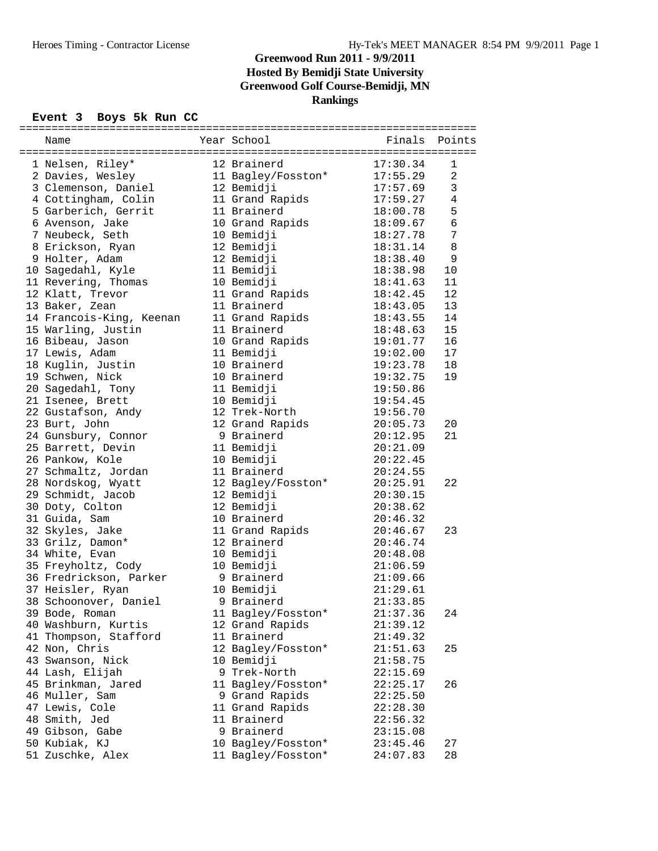## **Greenwood Run 2011 - 9/9/2011 Hosted By Bemidji State University Greenwood Golf Course-Bemidji, MN Rankings**

## **Event 3 Boys 5k Run CC**

|  | Name                     |  | Year School        | Finals   | Points       |  |  |  |  |  |  |  |  |
|--|--------------------------|--|--------------------|----------|--------------|--|--|--|--|--|--|--|--|
|  |                          |  |                    |          |              |  |  |  |  |  |  |  |  |
|  | 1 Nelsen, Riley*         |  | 12 Brainerd        | 17:30.34 | 1            |  |  |  |  |  |  |  |  |
|  | 2 Davies, Wesley         |  | 11 Bagley/Fosston* | 17:55.29 | 2            |  |  |  |  |  |  |  |  |
|  | 3 Clemenson, Daniel      |  | 12 Bemidji         | 17:57.69 | $\mathbf{3}$ |  |  |  |  |  |  |  |  |
|  | 4 Cottingham, Colin      |  | 11 Grand Rapids    | 17:59.27 | 4            |  |  |  |  |  |  |  |  |
|  | 5 Garberich, Gerrit      |  | 11 Brainerd        | 18:00.78 | 5            |  |  |  |  |  |  |  |  |
|  | 6 Avenson, Jake          |  | 10 Grand Rapids    | 18:09.67 | $\epsilon$   |  |  |  |  |  |  |  |  |
|  | 7 Neubeck, Seth          |  | 10 Bemidji         | 18:27.78 | 7            |  |  |  |  |  |  |  |  |
|  | 8 Erickson, Ryan         |  | 12 Bemidji         | 18:31.14 | 8            |  |  |  |  |  |  |  |  |
|  | 9 Holter, Adam           |  | 12 Bemidji         | 18:38.40 | $\mathsf 9$  |  |  |  |  |  |  |  |  |
|  | 10 Sagedahl, Kyle        |  | 11 Bemidji         | 18:38.98 | 10           |  |  |  |  |  |  |  |  |
|  | 11 Revering, Thomas      |  | 10 Bemidji         | 18:41.63 | 11           |  |  |  |  |  |  |  |  |
|  | 12 Klatt, Trevor         |  | 11 Grand Rapids    | 18:42.45 | 12           |  |  |  |  |  |  |  |  |
|  | 13 Baker, Zean           |  | 11 Brainerd        | 18:43.05 | 13           |  |  |  |  |  |  |  |  |
|  | 14 Francois-King, Keenan |  | 11 Grand Rapids    | 18:43.55 | 14           |  |  |  |  |  |  |  |  |
|  | 15 Warling, Justin       |  | 11 Brainerd        | 18:48.63 | 15           |  |  |  |  |  |  |  |  |
|  | 16 Bibeau, Jason         |  | 10 Grand Rapids    | 19:01.77 | 16           |  |  |  |  |  |  |  |  |
|  | 17 Lewis, Adam           |  | 11 Bemidji         | 19:02.00 | 17           |  |  |  |  |  |  |  |  |
|  | 18 Kuglin, Justin        |  | 10 Brainerd        | 19:23.78 | 18           |  |  |  |  |  |  |  |  |
|  | 19 Schwen, Nick          |  | 10 Brainerd        | 19:32.75 | 19           |  |  |  |  |  |  |  |  |
|  | 20 Sagedahl, Tony        |  | 11 Bemidji         | 19:50.86 |              |  |  |  |  |  |  |  |  |
|  | 21 Isenee, Brett         |  | 10 Bemidji         | 19:54.45 |              |  |  |  |  |  |  |  |  |
|  | 22 Gustafson, Andy       |  | 12 Trek-North      | 19:56.70 |              |  |  |  |  |  |  |  |  |
|  | 23 Burt, John            |  | 12 Grand Rapids    | 20:05.73 | 20           |  |  |  |  |  |  |  |  |
|  | 24 Gunsbury, Connor      |  | 9 Brainerd         | 20:12.95 | 21           |  |  |  |  |  |  |  |  |
|  | 25 Barrett, Devin        |  | 11 Bemidji         | 20:21.09 |              |  |  |  |  |  |  |  |  |
|  | 26 Pankow, Kole          |  | 10 Bemidji         | 20:22.45 |              |  |  |  |  |  |  |  |  |
|  | 27 Schmaltz, Jordan      |  | 11 Brainerd        | 20:24.55 |              |  |  |  |  |  |  |  |  |
|  | 28 Nordskog, Wyatt       |  | 12 Bagley/Fosston* | 20:25.91 | 22           |  |  |  |  |  |  |  |  |
|  | 29 Schmidt, Jacob        |  | 12 Bemidji         | 20:30.15 |              |  |  |  |  |  |  |  |  |
|  | 30 Doty, Colton          |  | 12 Bemidji         | 20:38.62 |              |  |  |  |  |  |  |  |  |
|  | 31 Guida, Sam            |  | 10 Brainerd        | 20:46.32 |              |  |  |  |  |  |  |  |  |
|  | 32 Skyles, Jake          |  | 11 Grand Rapids    | 20:46.67 | 23           |  |  |  |  |  |  |  |  |
|  | 33 Grilz, Damon*         |  | 12 Brainerd        | 20:46.74 |              |  |  |  |  |  |  |  |  |
|  | 34 White, Evan           |  | 10 Bemidji         | 20:48.08 |              |  |  |  |  |  |  |  |  |
|  | 35 Freyholtz, Cody       |  | 10 Bemidji         | 21:06.59 |              |  |  |  |  |  |  |  |  |
|  | 36 Fredrickson, Parker   |  | 9 Brainerd         | 21:09.66 |              |  |  |  |  |  |  |  |  |
|  | 37 Heisler, Ryan         |  | 10 Bemidji         | 21:29.61 |              |  |  |  |  |  |  |  |  |
|  | 38 Schoonover, Daniel    |  | 9 Brainerd         | 21:33.85 |              |  |  |  |  |  |  |  |  |
|  | 39 Bode, Roman           |  | 11 Bagley/Fosston* | 21:37.36 | 24           |  |  |  |  |  |  |  |  |
|  | 40 Washburn, Kurtis      |  | 12 Grand Rapids    | 21:39.12 |              |  |  |  |  |  |  |  |  |
|  | 41 Thompson, Stafford    |  | 11 Brainerd        | 21:49.32 |              |  |  |  |  |  |  |  |  |
|  | 42 Non, Chris            |  | 12 Bagley/Fosston* | 21:51.63 | 25           |  |  |  |  |  |  |  |  |
|  | 43 Swanson, Nick         |  | 10 Bemidji         | 21:58.75 |              |  |  |  |  |  |  |  |  |
|  | 44 Lash, Elijah          |  | 9 Trek-North       | 22:15.69 |              |  |  |  |  |  |  |  |  |
|  | 45 Brinkman, Jared       |  | 11 Bagley/Fosston* | 22:25.17 | 26           |  |  |  |  |  |  |  |  |
|  | 46 Muller, Sam           |  | 9 Grand Rapids     | 22:25.50 |              |  |  |  |  |  |  |  |  |
|  | 47 Lewis, Cole           |  | 11 Grand Rapids    | 22:28.30 |              |  |  |  |  |  |  |  |  |
|  | 48 Smith, Jed            |  | 11 Brainerd        | 22:56.32 |              |  |  |  |  |  |  |  |  |
|  | 49 Gibson, Gabe          |  | 9 Brainerd         | 23:15.08 |              |  |  |  |  |  |  |  |  |
|  | 50 Kubiak, KJ            |  | 10 Bagley/Fosston* | 23:45.46 | 27           |  |  |  |  |  |  |  |  |
|  | 51 Zuschke, Alex         |  | 11 Bagley/Fosston* | 24:07.83 | 28           |  |  |  |  |  |  |  |  |
|  |                          |  |                    |          |              |  |  |  |  |  |  |  |  |